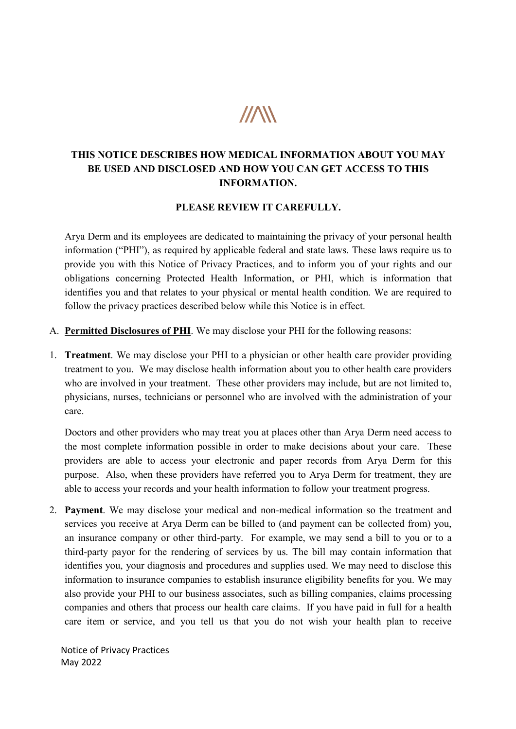## $\mathcal{U}\!\!\mathcal{N}\!\!\mathcal{N}$

## THIS NOTICE DESCRIBES HOW MEDICAL INFORMATION ABOUT YOU MAY BE USED AND DISCLOSED AND HOW YOU CAN GET ACCESS TO THIS<br>INFORMATION.

## PLEASE REVIEW IT CAREFULLY.

Arya Derm and its employees are dedicated to maintaining the privacy of your personal health information ("PHI"), as required by applicable federal and state laws. These laws require us to information ("PHI"), as required by applicable federal and state laws. These laws require us to provide you with this Notice of Privacy Practices, and to inform you of your provide you with this Notice of Privacy Practices, and to inform you of your rights and our obligations concerning Protected Health Information, or PHI, which is information that identifies you and that relates to your physical or mental health condition. We are required to identifies you and that relates to your physical or mental health condition. We are required to follow the privacy practices described below while this No tice is in effect. employees are dedicated to maintaining the privacy of your personal heal<br>
"), as required by applicable federal and state laws. These laws require us<br>
this Notice of Privacy Practices, and to inform you of your rights and obligations concerning Protected Health Information, or PHI, which is information that

- A. Permitted Disclosures of PHI. We may disclose your PHI for the following reasons:
- 1. Treatment. We may disclose your PHI to a physician or other health care provider providing treatment to you. We may disclose health information about you to other health care providers who are involved in your treatment. These other providers may include, but are not limited to,<br>physicians, nurses, technicians or personnel who are involved with the administration of your<br>care.<br>Doctors and other providers physicians, nurses, technicians or personnel who are involved with the administration of your care.

 Doctors and other providers who may treat you at places other than Arya Derm need access to the most complete information possible in order to make decisions about your care. These the most complete information possible in order to make decisions about your care. These providers are able to access your electronic and paper records from providers are able to access your electronic and paper records from Arya Derm for this the most complete information possible in order to make decisions about your care. These providers are able to access your electronic and paper records from Arya Derm for this purpose. Also, when these providers have refer able to access your records and your health information to follow your treatment progress. able to access your records and your health information to follow your treatment progress.

able to access your records and your health information to follow your treatment progress.<br>2. **Payment**. We may disclose your medical and non-medical information so the treatment and services you receive at Arya Derm can be billed to (and payment can be collected from) you, an insurance company or other third-party. For example, we may send a bill to you or to a third-party payor for the rendering of services by us. The bill may contain information that identifies you, your diagnosis and procedures and supplies used. We may need to disclose this identifies you, your diagnosis and procedures and supplies used. We may need to disclose this information to insurance companies to establish insurance eligibility benefits for you. We may also provide your PHI to our busin ess associates, such as billing companies, claims processing companies and others that process our health care claims. If you have paid in full for a health care item or service, and you tell us that you do not wish your health plan to receive care item or service, and you tell us that you do not wish your health plan to receive your diagnosis and procedures and supplies used. We may need to disclose this<br>insurance companies to establish insurance eligibility benefits for you. We may<br>our PHI to our business associates, such as billing companies, c **HER NOTICE DESCRIBES HOW MEDICAL INFORMATION** ARBOUT YOU MAY<br> **BE USED AND DISCLOSED AND ITOW YOU CAN CET ACCESS TO THIS**<br>
INFORMATION.<br> **PLEASE REYIEW IT CAREFULLY.**<br>
THE TRIST THE TRIST INFORMATION.<br> **PLEASE REYIEW IT C** information to insurance companies to establish insurance eligibility benefits for you. We may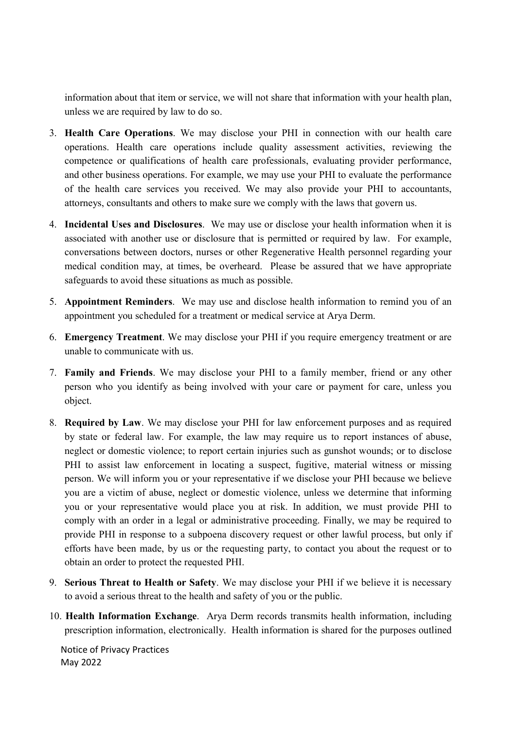information about that item or service, we will not share that information with your health plan, unless we are required by law to do so.

- 3. Health Care Operations. We may disclose your PHI in connection with our health care operations. Health care operations include quality assessment activities, reviewing the competence or qualifications of health care professionals, evaluating provider performance, and other business operations. For example, we may use your PHI to evaluate the performance of the health care services you received. We may also provide your PHI to accountants, attorneys, consultants and others to make sure we comply with the laws that govern us.
- 4. Incidental Uses and Disclosures. We may use or disclose your health information when it is associated with another use or disclosure that is permitted or required by law. For example, conversations between doctors, nurses or other Regenerative Health personnel regarding your medical condition may, at times, be overheard. Please be assured that we have appropriate safeguards to avoid these situations as much as possible.
- 5. Appointment Reminders. We may use and disclose health information to remind you of an appointment you scheduled for a treatment or medical service at Arya Derm.
- 6. Emergency Treatment. We may disclose your PHI if you require emergency treatment or are unable to communicate with us.
- 7. Family and Friends. We may disclose your PHI to a family member, friend or any other person who you identify as being involved with your care or payment for care, unless you object.
- 8. Required by Law. We may disclose your PHI for law enforcement purposes and as required by state or federal law. For example, the law may require us to report instances of abuse, neglect or domestic violence; to report certain injuries such as gunshot wounds; or to disclose PHI to assist law enforcement in locating a suspect, fugitive, material witness or missing person. We will inform you or your representative if we disclose your PHI because we believe you are a victim of abuse, neglect or domestic violence, unless we determine that informing you or your representative would place you at risk. In addition, we must provide PHI to comply with an order in a legal or administrative proceeding. Finally, we may be required to provide PHI in response to a subpoena discovery request or other lawful process, but only if efforts have been made, by us or the requesting party, to contact you about the request or to obtain an order to protect the requested PHI.
- 9. Serious Threat to Health or Safety. We may disclose your PHI if we believe it is necessary to avoid a serious threat to the health and safety of you or the public.
- 10. Health Information Exchange. Arya Derm records transmits health information, including prescription information, electronically. Health information is shared for the purposes outlined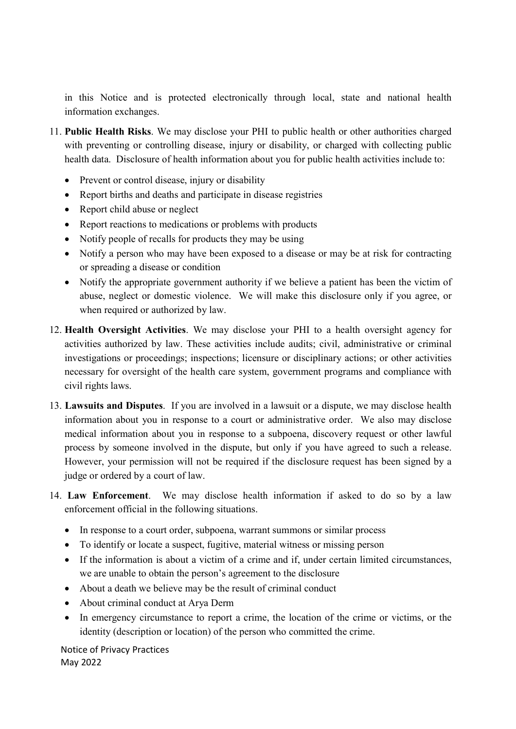in this Notice and is protected electronically through local, state and national health information exchanges.

- 11. Public Health Risks. We may disclose your PHI to public health or other authorities charged with preventing or controlling disease, injury or disability, or charged with collecting public health data. Disclosure of health information about you for public health activities include to:
	- Prevent or control disease, injury or disability
	- Report births and deaths and participate in disease registries
	- Report child abuse or neglect
	- Report reactions to medications or problems with products
	- Notify people of recalls for products they may be using
	- Notify a person who may have been exposed to a disease or may be at risk for contracting or spreading a disease or condition
	- Notify the appropriate government authority if we believe a patient has been the victim of abuse, neglect or domestic violence. We will make this disclosure only if you agree, or when required or authorized by law.
- 12. Health Oversight Activities. We may disclose your PHI to a health oversight agency for activities authorized by law. These activities include audits; civil, administrative or criminal investigations or proceedings; inspections; licensure or disciplinary actions; or other activities necessary for oversight of the health care system, government programs and compliance with civil rights laws.
- 13. Lawsuits and Disputes. If you are involved in a lawsuit or a dispute, we may disclose health information about you in response to a court or administrative order. We also may disclose medical information about you in response to a subpoena, discovery request or other lawful process by someone involved in the dispute, but only if you have agreed to such a release. However, your permission will not be required if the disclosure request has been signed by a judge or ordered by a court of law.
- 14. Law Enforcement. We may disclose health information if asked to do so by a law enforcement official in the following situations.
	- In response to a court order, subpoena, warrant summons or similar process
	- To identify or locate a suspect, fugitive, material witness or missing person
	- If the information is about a victim of a crime and if, under certain limited circumstances, we are unable to obtain the person's agreement to the disclosure
	- About a death we believe may be the result of criminal conduct
	- About criminal conduct at Arya Derm
	- In emergency circumstance to report a crime, the location of the crime or victims, or the identity (description or location) of the person who committed the crime.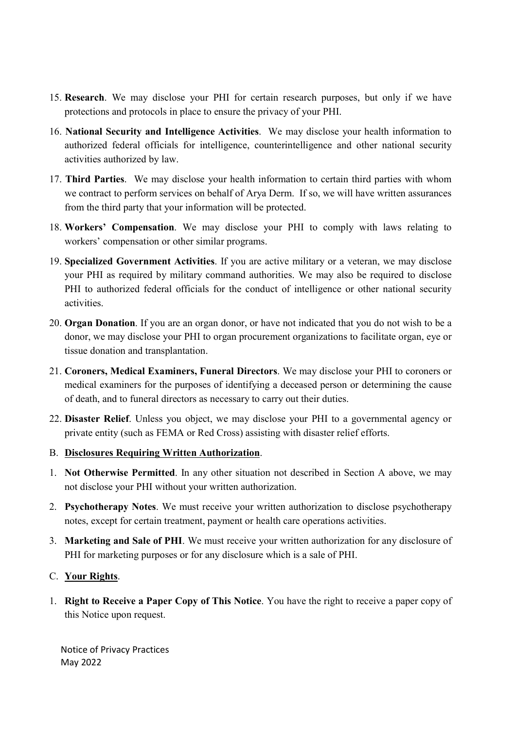- 15. Research. We may disclose your PHI for certain research purposes, but only if we have protections and protocols in place to ensure the privacy of your PHI.
- 16. National Security and Intelligence Activities. We may disclose your health information to authorized federal officials for intelligence, counterintelligence and other national security activities authorized by law.
- 17. Third Parties. We may disclose your health information to certain third parties with whom we contract to perform services on behalf of Arya Derm. If so, we will have written assurances from the third party that your information will be protected.
- 18. Workers' Compensation. We may disclose your PHI to comply with laws relating to workers' compensation or other similar programs.
- 19. Specialized Government Activities. If you are active military or a veteran, we may disclose your PHI as required by military command authorities. We may also be required to disclose PHI to authorized federal officials for the conduct of intelligence or other national security activities.
- 20. Organ Donation. If you are an organ donor, or have not indicated that you do not wish to be a donor, we may disclose your PHI to organ procurement organizations to facilitate organ, eye or tissue donation and transplantation.
- 21. Coroners, Medical Examiners, Funeral Directors. We may disclose your PHI to coroners or medical examiners for the purposes of identifying a deceased person or determining the cause of death, and to funeral directors as necessary to carry out their duties.
- 22. Disaster Relief. Unless you object, we may disclose your PHI to a governmental agency or private entity (such as FEMA or Red Cross) assisting with disaster relief efforts.
- B. Disclosures Requiring Written Authorization.
- 1. Not Otherwise Permitted. In any other situation not described in Section A above, we may not disclose your PHI without your written authorization.
- 2. Psychotherapy Notes. We must receive your written authorization to disclose psychotherapy notes, except for certain treatment, payment or health care operations activities.
- 3. Marketing and Sale of PHI. We must receive your written authorization for any disclosure of PHI for marketing purposes or for any disclosure which is a sale of PHI.

## C. Your Rights.

1. Right to Receive a Paper Copy of This Notice. You have the right to receive a paper copy of this Notice upon request.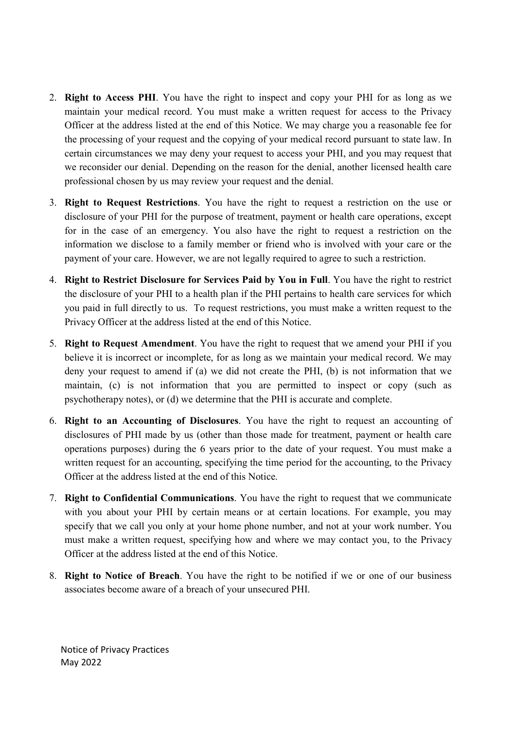- 2. Right to Access PHI. You have the right to inspect and copy your PHI for as long as we maintain your medical record. You must make a written request for access to the Privacy Officer at the address listed at the end of this Notice. We may charge you a reasonable fee for the processing of your request and the copying of your medical record pursuant to state law. In certain circumstances we may deny your request to access your PHI, and you may request that we reconsider our denial. Depending on the reason for the denial, another licensed health care professional chosen by us may review your request and the denial.
- 3. Right to Request Restrictions. You have the right to request a restriction on the use or disclosure of your PHI for the purpose of treatment, payment or health care operations, except for in the case of an emergency. You also have the right to request a restriction on the information we disclose to a family member or friend who is involved with your care or the payment of your care. However, we are not legally required to agree to such a restriction.
- 4. Right to Restrict Disclosure for Services Paid by You in Full. You have the right to restrict the disclosure of your PHI to a health plan if the PHI pertains to health care services for which you paid in full directly to us. To request restrictions, you must make a written request to the Privacy Officer at the address listed at the end of this Notice.
- 5. Right to Request Amendment. You have the right to request that we amend your PHI if you believe it is incorrect or incomplete, for as long as we maintain your medical record. We may deny your request to amend if (a) we did not create the PHI, (b) is not information that we maintain, (c) is not information that you are permitted to inspect or copy (such as psychotherapy notes), or (d) we determine that the PHI is accurate and complete.
- 6. Right to an Accounting of Disclosures. You have the right to request an accounting of disclosures of PHI made by us (other than those made for treatment, payment or health care operations purposes) during the 6 years prior to the date of your request. You must make a written request for an accounting, specifying the time period for the accounting, to the Privacy Officer at the address listed at the end of this Notice.
- 7. Right to Confidential Communications. You have the right to request that we communicate with you about your PHI by certain means or at certain locations. For example, you may specify that we call you only at your home phone number, and not at your work number. You must make a written request, specifying how and where we may contact you, to the Privacy Officer at the address listed at the end of this Notice.
- 8. Right to Notice of Breach. You have the right to be notified if we or one of our business associates become aware of a breach of your unsecured PHI.